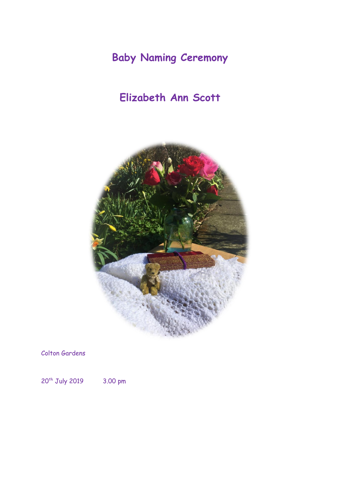**Baby Naming Ceremony**

## **Elizabeth Ann Scott**



Colton Gardens

20<sup>th</sup> July 2019 3.00 pm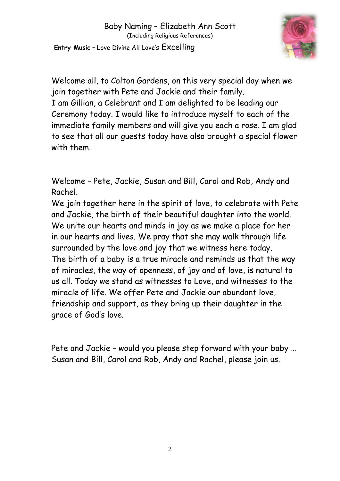

Welcome all, to Colton Gardens, on this very special day when we join together with Pete and Jackie and their family. I am Gillian, a Celebrant and I am delighted to be leading our Ceremony today. I would like to introduce myself to each of the immediate family members and will give you each a rose. I am glad to see that all our guests today have also brought a special flower with them.

Welcome – Pete, Jackie, Susan and Bill, Carol and Rob, Andy and Rachel.

We join together here in the spirit of love, to celebrate with Pete and Jackie, the birth of their beautiful daughter into the world. We unite our hearts and minds in joy as we make a place for her in our hearts and lives. We pray that she may walk through life surrounded by the love and joy that we witness here today. The birth of a baby is a true miracle and reminds us that the way of miracles, the way of openness, of joy and of love, is natural to us all. Today we stand as witnesses to Love, and witnesses to the miracle of life. We offer Pete and Jackie our abundant love, friendship and support, as they bring up their daughter in the grace of God's love.

Pete and Jackie – would you please step forward with your baby … Susan and Bill, Carol and Rob, Andy and Rachel, please join us.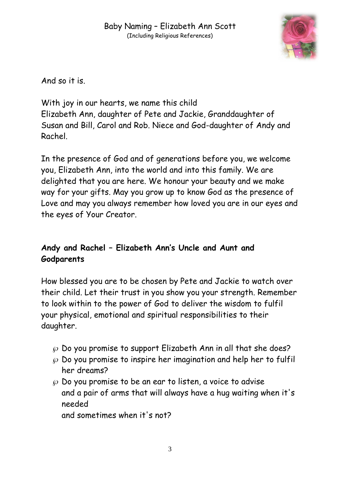

And so it is.

With joy in our hearts, we name this child Elizabeth Ann, daughter of Pete and Jackie, Granddaughter of Susan and Bill, Carol and Rob. Niece and God-daughter of Andy and Rachel.

In the presence of God and of generations before you, we welcome you, Elizabeth Ann, into the world and into this family. We are delighted that you are here. We honour your beauty and we make way for your gifts. May you grow up to know God as the presence of Love and may you always remember how loved you are in our eyes and the eyes of Your Creator.

## **Andy and Rachel – Elizabeth Ann's Uncle and Aunt and Godparents**

How blessed you are to be chosen by Pete and Jackie to watch over their child. Let their trust in you show you your strength. Remember to look within to the power of God to deliver the wisdom to fulfil your physical, emotional and spiritual responsibilities to their daughter.

- $\varnothing$  Do you promise to support Elizabeth Ann in all that she does?
- $\wp$  Do you promise to inspire her imagination and help her to fulfil her dreams?
- $\wp$  Do you promise to be an ear to listen, a voice to advise and a pair of arms that will always have a hug waiting when it's needed

and sometimes when it's not?